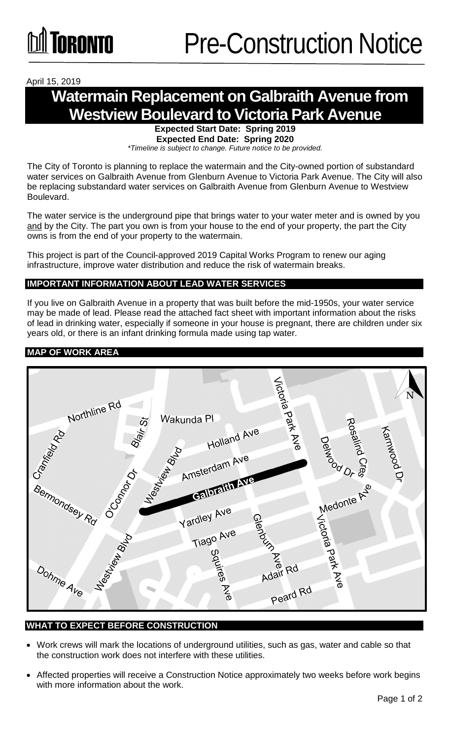## April 15, 2019

# **Watermain Replacement on Galbraith Avenue from Westview Boulevard to Victoria Park Avenue**

**Expected Start Date: Spring 2019 Expected End Date: Spring 2020**

*\*Timeline is subject to change. Future notice to be provided.*

The City of Toronto is planning to replace the watermain and the City-owned portion of substandard water services on Galbraith Avenue from Glenburn Avenue to Victoria Park Avenue. The City will also be replacing substandard water services on Galbraith Avenue from Glenburn Avenue to Westview Boulevard.

The water service is the underground pipe that brings water to your water meter and is owned by you and by the City. The part you own is from your house to the end of your property, the part the City owns is from the end of your property to the watermain.

This project is part of the Council-approved 2019 Capital Works Program to renew our aging infrastructure, improve water distribution and reduce the risk of watermain breaks.

#### **IMPORTANT INFORMATION ABOUT LEAD WATER SERVICES**

If you live on Galbraith Avenue in a property that was built before the mid-1950s, your water service may be made of lead. Please read the attached fact sheet with important information about the risks of lead in drinking water, especially if someone in your house is pregnant, there are children under six years old, or there is an infant drinking formula made using tap water.

## **MAP OF WORK AREA**



#### **WHAT TO EXPECT BEFORE CONSTRUCTION**

- Work crews will mark the locations of underground utilities, such as gas, water and cable so that the construction work does not interfere with these utilities.
- Affected properties will receive a Construction Notice approximately two weeks before work begins with more information about the work.